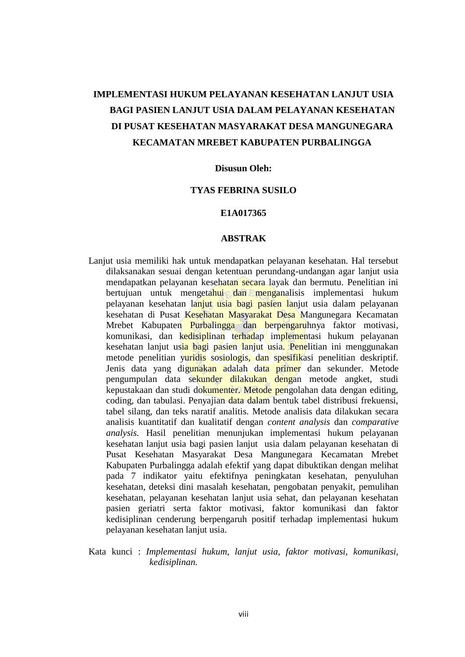# **IMPLEMENTASI HUKUM PELAYANAN KESEHATAN LANJUT USIA BAGI PASIEN LANJUT USIA DALAM PELAYANAN KESEHATAN DI PUSAT KESEHATAN MASYARAKAT DESA MANGUNEGARA KECAMATAN MREBET KABUPATEN PURBALINGGA**

### **Disusun Oleh:**

### **TYAS FEBRINA SUSILO**

## **E1A017365**

### **ABSTRAK**

- Lanjut usia memiliki hak untuk mendapatkan pelayanan kesehatan. Hal tersebut dilaksanakan sesuai dengan ketentuan perundang-undangan agar lanjut usia mendapatkan pelayanan kesehatan secara layak dan bermutu. Penelitian ini bertujuan untuk mengetahui dan menganalisis implementasi hukum pelayanan kesehatan lanjut usia bagi pasien lanjut usia dalam pelayanan kesehatan di Pusat Kesehatan Masyarakat Desa Mangunegara Kecamatan Mrebet Kabupaten Purbalingga dan berpengaruhnya faktor motivasi, komunikasi, dan kedisiplinan terhadap implementasi hukum pelayanan kesehatan lanjut usia bagi pasien lanjut usia. Penelitian ini menggunakan metode penelitian yuridis sosiologis, dan spesifikasi penelitian deskriptif. Jenis data yang digunakan adalah data primer dan sekunder. Metode pengumpulan data sekunder dilakukan dengan metode angket, studi kepustakaan dan studi dokumenter. Metode pengolahan data dengan editing, coding, dan tabulasi. Penyajian data dalam bentuk tabel distribusi frekuensi, tabel silang, dan teks naratif analitis. Metode analisis data dilakukan secara analisis kuantitatif dan kualitatif dengan *content analysis* dan *comparative analysis.* Hasil penelitian menunjukan implementasi hukum pelayanan kesehatan lanjut usia bagi pasien lanjut usia dalam pelayanan kesehatan di Pusat Kesehatan Masyarakat Desa Mangunegara Kecamatan Mrebet Kabupaten Purbalingga adalah efektif yang dapat dibuktikan dengan melihat pada 7 indikator yaitu efektifnya peningkatan kesehatan, penyuluhan kesehatan, deteksi dini masalah kesehatan, pengobatan penyakit, pemulihan kesehatan, pelayanan kesehatan lanjut usia sehat, dan pelayanan kesehatan pasien geriatri serta faktor motivasi, faktor komunikasi dan faktor kedisiplinan cenderung berpengaruh positif terhadap implementasi hukum pelayanan kesehatan lanjut usia.
- Kata kunci : *Implementasi hukum, lanjut usia, faktor motivasi, komunikasi, kedisiplinan.*